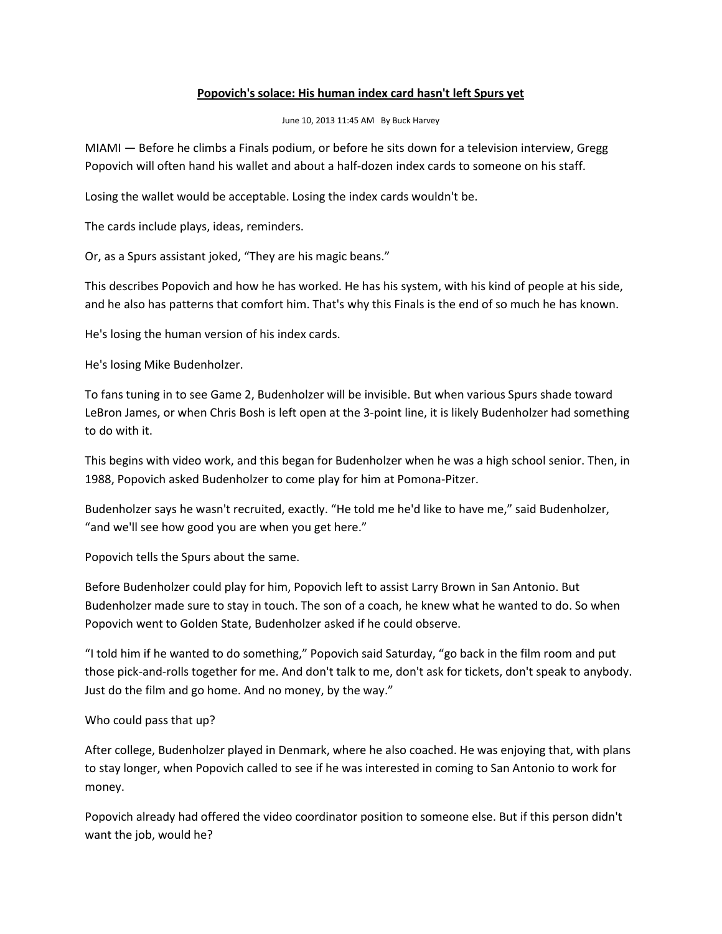## **Popovich's solace: His human index card hasn't left Spurs yet**

June 10, 2013 11:45 AM By Buck Harvey

MIAMI — Before he climbs a Finals podium, or before he sits down for a television interview, Gregg Popovich will often hand his wallet and about a half-dozen index cards to someone on his staff.

Losing the wallet would be acceptable. Losing the index cards wouldn't be.

The cards include plays, ideas, reminders.

Or, as a Spurs assistant joked, "They are his magic beans."

This describes Popovich and how he has worked. He has his system, with his kind of people at his side, and he also has patterns that comfort him. That's why this Finals is the end of so much he has known.

He's losing the human version of his index cards.

He's losing Mike Budenholzer.

To fans tuning in to see Game 2, Budenholzer will be invisible. But when various Spurs shade toward LeBron James, or when Chris Bosh is left open at the 3-point line, it is likely Budenholzer had something to do with it.

This begins with video work, and this began for Budenholzer when he was a high school senior. Then, in 1988, Popovich asked Budenholzer to come play for him at Pomona-Pitzer.

Budenholzer says he wasn't recruited, exactly. "He told me he'd like to have me," said Budenholzer, "and we'll see how good you are when you get here."

Popovich tells the Spurs about the same.

Before Budenholzer could play for him, Popovich left to assist Larry Brown in San Antonio. But Budenholzer made sure to stay in touch. The son of a coach, he knew what he wanted to do. So when Popovich went to Golden State, Budenholzer asked if he could observe.

"I told him if he wanted to do something," Popovich said Saturday, "go back in the film room and put those pick-and-rolls together for me. And don't talk to me, don't ask for tickets, don't speak to anybody. Just do the film and go home. And no money, by the way."

## Who could pass that up?

After college, Budenholzer played in Denmark, where he also coached. He was enjoying that, with plans to stay longer, when Popovich called to see if he was interested in coming to San Antonio to work for money.

Popovich already had offered the video coordinator position to someone else. But if this person didn't want the job, would he?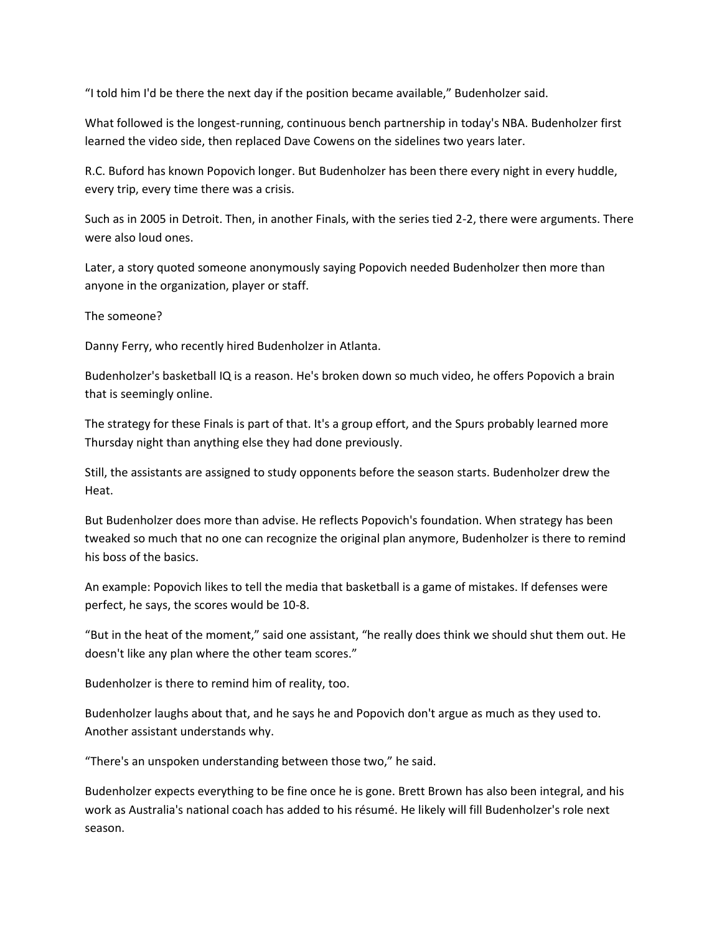"I told him I'd be there the next day if the position became available," Budenholzer said.

What followed is the longest-running, continuous bench partnership in today's NBA. Budenholzer first learned the video side, then replaced Dave Cowens on the sidelines two years later.

R.C. Buford has known Popovich longer. But Budenholzer has been there every night in every huddle, every trip, every time there was a crisis.

Such as in 2005 in Detroit. Then, in another Finals, with the series tied 2-2, there were arguments. There were also loud ones.

Later, a story quoted someone anonymously saying Popovich needed Budenholzer then more than anyone in the organization, player or staff.

The someone?

Danny Ferry, who recently hired Budenholzer in Atlanta.

Budenholzer's basketball IQ is a reason. He's broken down so much video, he offers Popovich a brain that is seemingly online.

The strategy for these Finals is part of that. It's a group effort, and the Spurs probably learned more Thursday night than anything else they had done previously.

Still, the assistants are assigned to study opponents before the season starts. Budenholzer drew the Heat.

But Budenholzer does more than advise. He reflects Popovich's foundation. When strategy has been tweaked so much that no one can recognize the original plan anymore, Budenholzer is there to remind his boss of the basics.

An example: Popovich likes to tell the media that basketball is a game of mistakes. If defenses were perfect, he says, the scores would be 10-8.

"But in the heat of the moment," said one assistant, "he really does think we should shut them out. He doesn't like any plan where the other team scores."

Budenholzer is there to remind him of reality, too.

Budenholzer laughs about that, and he says he and Popovich don't argue as much as they used to. Another assistant understands why.

"There's an unspoken understanding between those two," he said.

Budenholzer expects everything to be fine once he is gone. Brett Brown has also been integral, and his work as Australia's national coach has added to his résumé. He likely will fill Budenholzer's role next season.